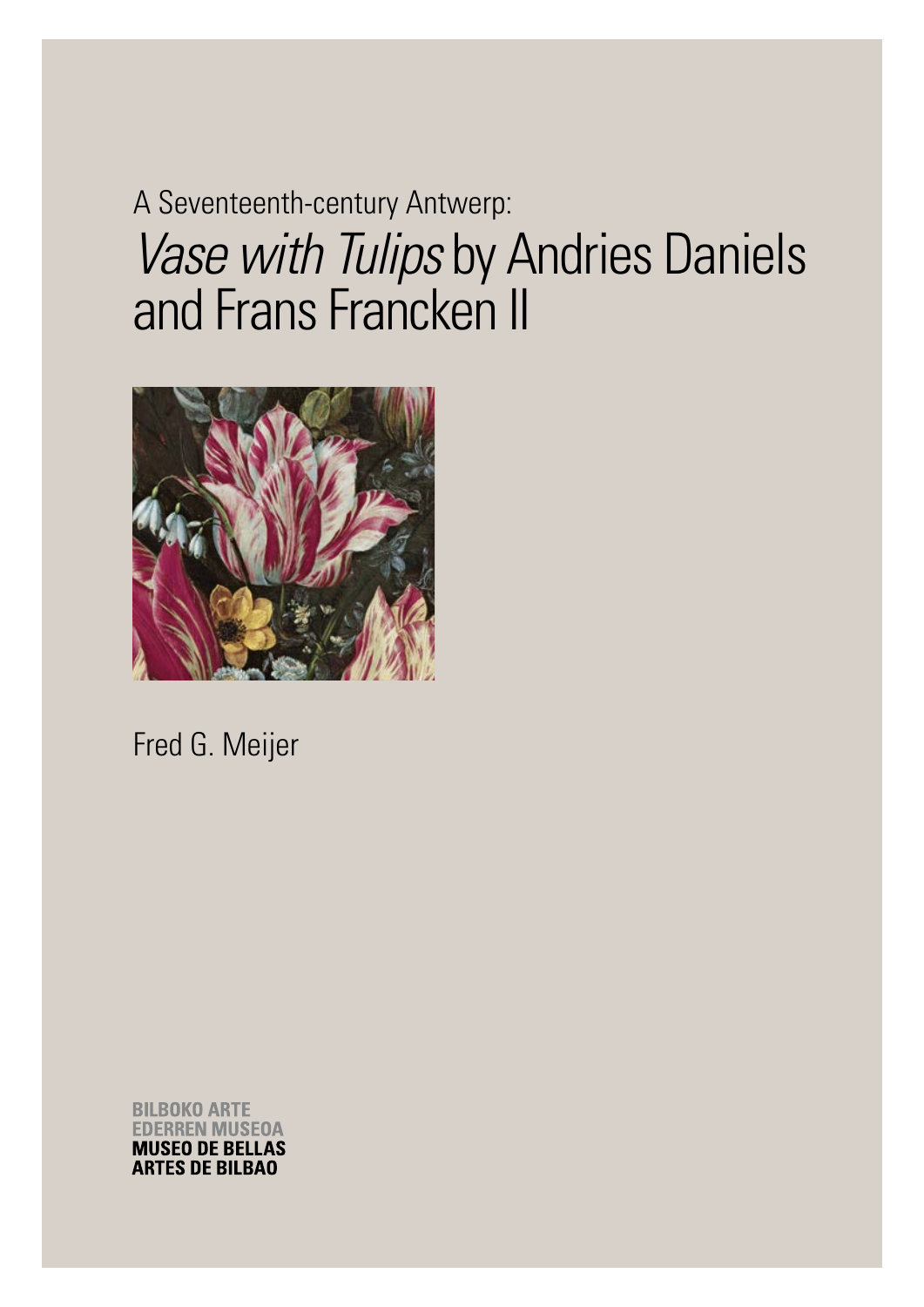# A Seventeenth-century Antwerp: *Vase with Tulips* by Andries Daniels and Frans Francken II



Fred G. Meijer

**BILBOKO ARTE ERREN MUSEOA MUSEO DE BELLAS ARTES DE BILBAO**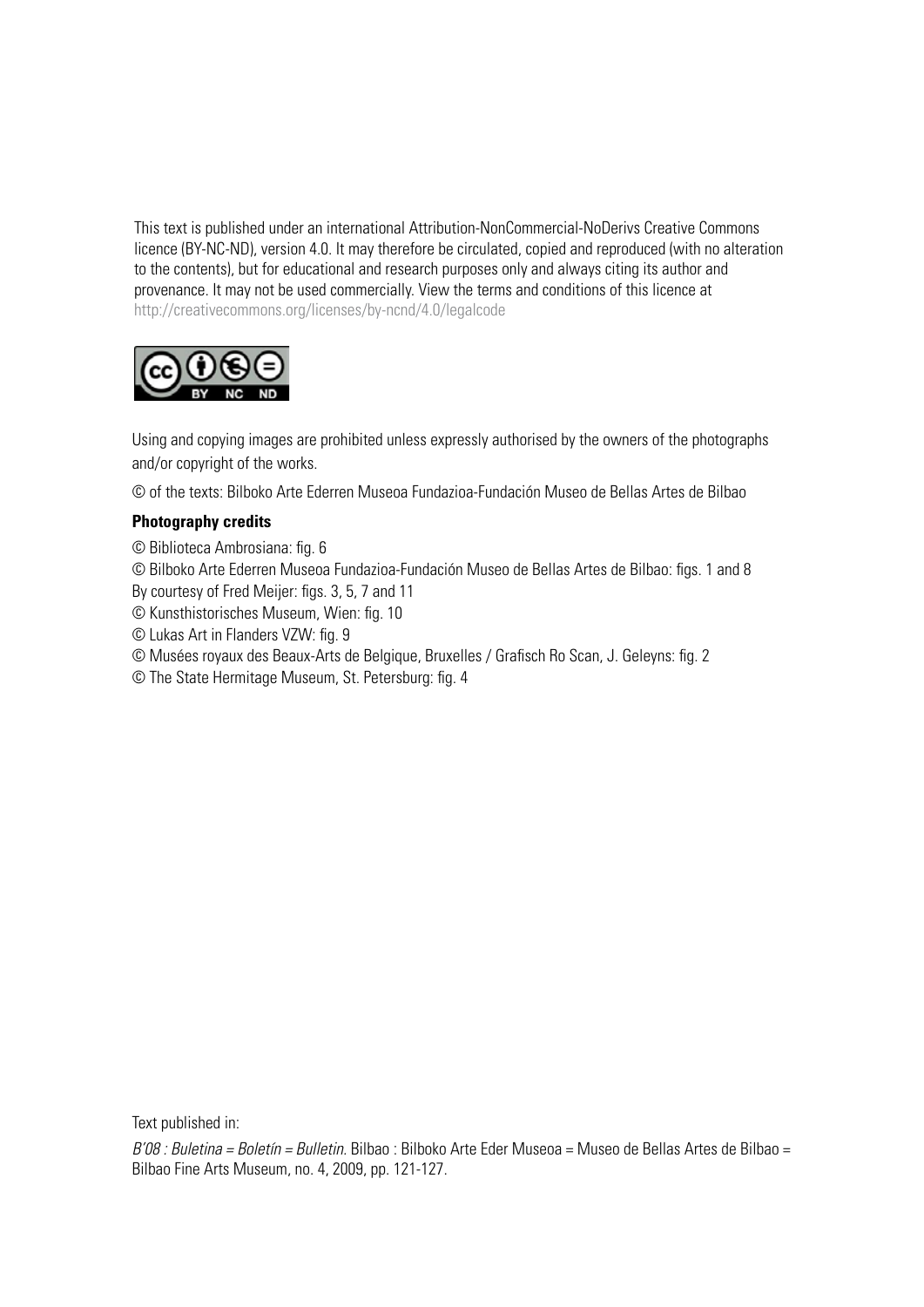This text is published under an international Attribution-NonCommercial-NoDerivs Creative Commons licence (BY-NC-ND), version 4.0. It may therefore be circulated, copied and reproduced (with no alteration to the contents), but for educational and research purposes only and always citing its author and provenance. It may not be used commercially. View the terms and conditions of this licence at http://creativecommons.org/licenses/by-ncnd/4.0/legalcode



Using and copying images are prohibited unless expressly authorised by the owners of the photographs and/or copyright of the works.

© of the texts: Bilboko Arte Ederren Museoa Fundazioa-Fundación Museo de Bellas Artes de Bilbao

#### **Photography credits**

- © Biblioteca Ambrosiana: fig. 6
- © Bilboko Arte Ederren Museoa Fundazioa-Fundación Museo de Bellas Artes de Bilbao: figs. 1 and 8
- By courtesy of Fred Meijer: figs. 3, 5, 7 and 11
- © Kunsthistorisches Museum, Wien: fig. 10
- © Lukas Art in Flanders VZW: fig. 9
- © Musées royaux des Beaux-Arts de Belgique, Bruxelles / Grafisch Ro Scan, J. Geleyns: fig. 2
- © The State Hermitage Museum, St. Petersburg: fig. 4

Text published in:

*B'08 : Buletina = Boletín = Bulletin.* Bilbao : Bilboko Arte Eder Museoa = Museo de Bellas Artes de Bilbao = Bilbao Fine Arts Museum, no. 4, 2009, pp. 121-127.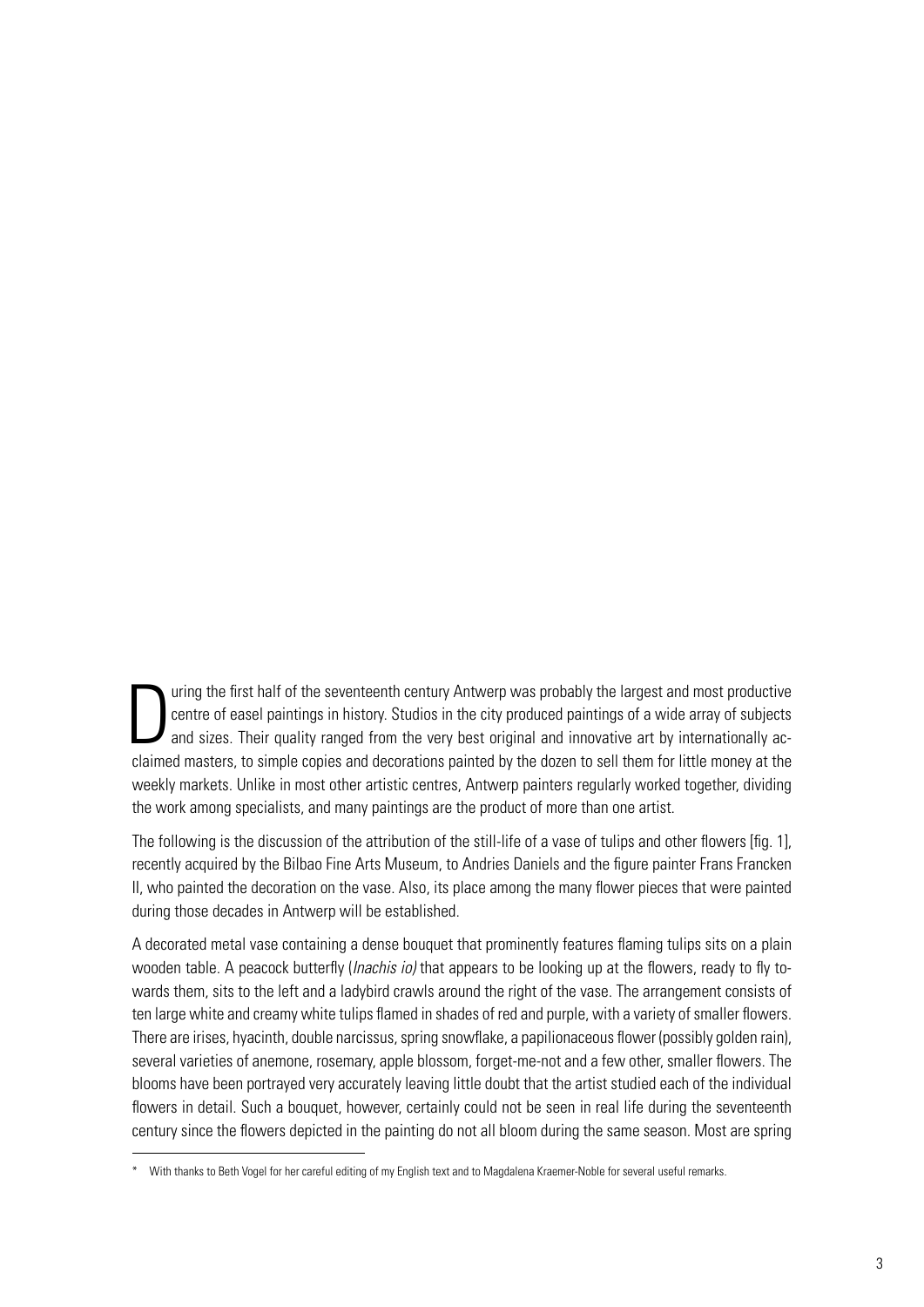D uring the first half of the seventeenth century Antwerp was probably the largest and most productive centre of easel paintings in history. Studios in the city produced paintings of a wide array of subjects and sizes. Their quality ranged from the very best original and innovative art by internationally acclaimed masters, to simple copies and decorations painted by the dozen to sell them for little money at the weekly markets. Unlike in most other artistic centres, Antwerp painters regularly worked together, dividing the work among specialists, and many paintings are the product of more than one artist.

The following is the discussion of the attribution of the still-life of a vase of tulips and other flowers [fig. 1], recently acquired by the Bilbao Fine Arts Museum, to Andries Daniels and the figure painter Frans Francken II, who painted the decoration on the vase. Also, its place among the many flower pieces that were painted during those decades in Antwerp will be established.

A decorated metal vase containing a dense bouquet that prominently features flaming tulips sits on a plain wooden table. A peacock butterfly (*Inachis io)* that appears to be looking up at the flowers, ready to fly towards them, sits to the left and a ladybird crawls around the right of the vase. The arrangement consists of ten large white and creamy white tulips flamed in shades of red and purple, with a variety of smaller flowers. There are irises, hyacinth, double narcissus, spring snowflake, a papilionaceous flower (possibly golden rain), several varieties of anemone, rosemary, apple blossom, forget-me-not and a few other, smaller flowers. The blooms have been portrayed very accurately leaving little doubt that the artist studied each of the individual flowers in detail. Such a bouquet, however, certainly could not be seen in real life during the seventeenth century since the flowers depicted in the painting do not all bloom during the same season. Most are spring

<sup>\*</sup> With thanks to Beth Vogel for her careful editing of my English text and to Magdalena Kraemer-Noble for several useful remarks.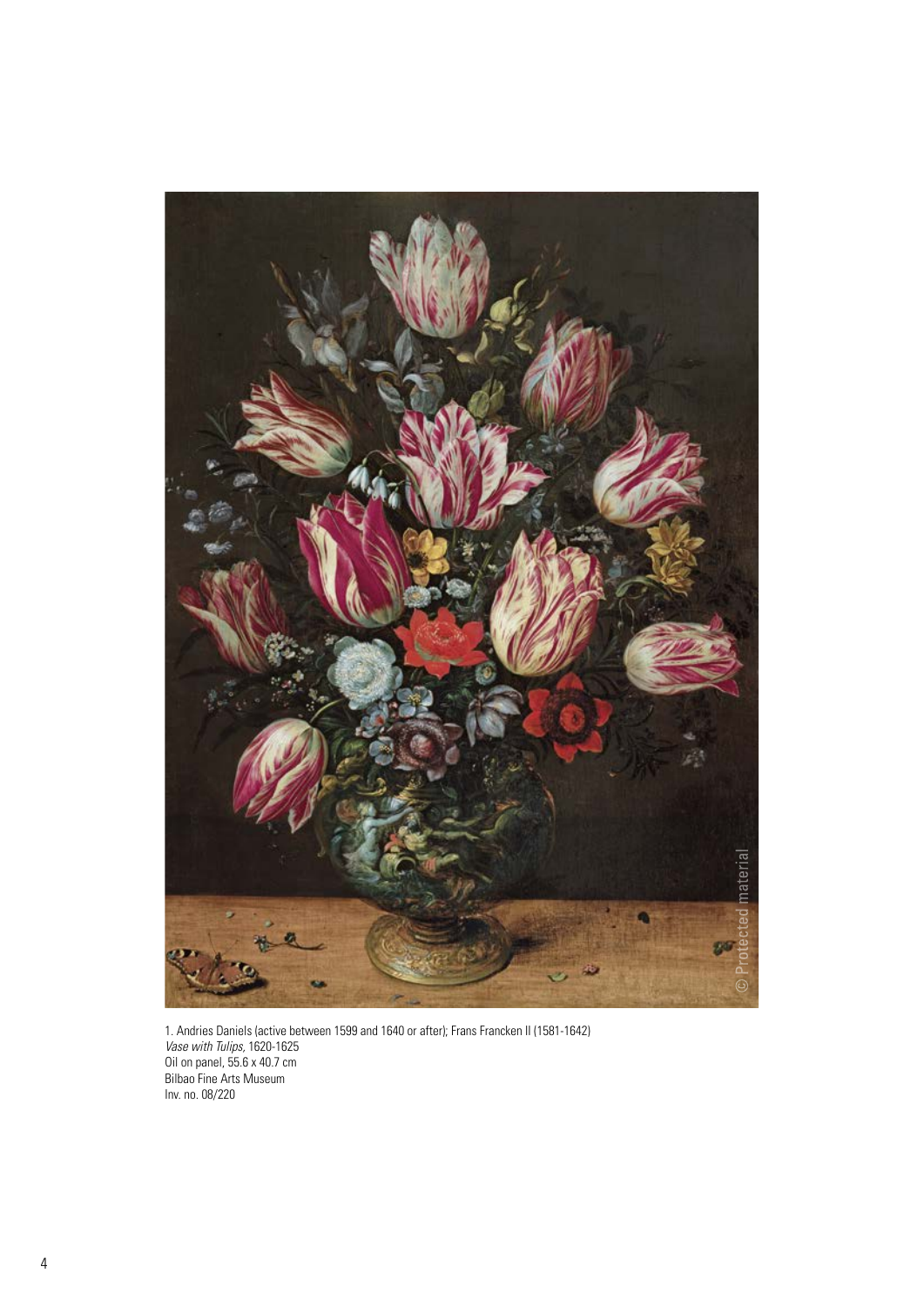

1. Andries Daniels (active between 1599 and 1640 or after); Frans Francken II (1581-1642) *Vase with Tulips,* 1620-1625 Oil on panel, 55.6 x 40.7 cm Bilbao Fine Arts Museum Inv. no. 08/220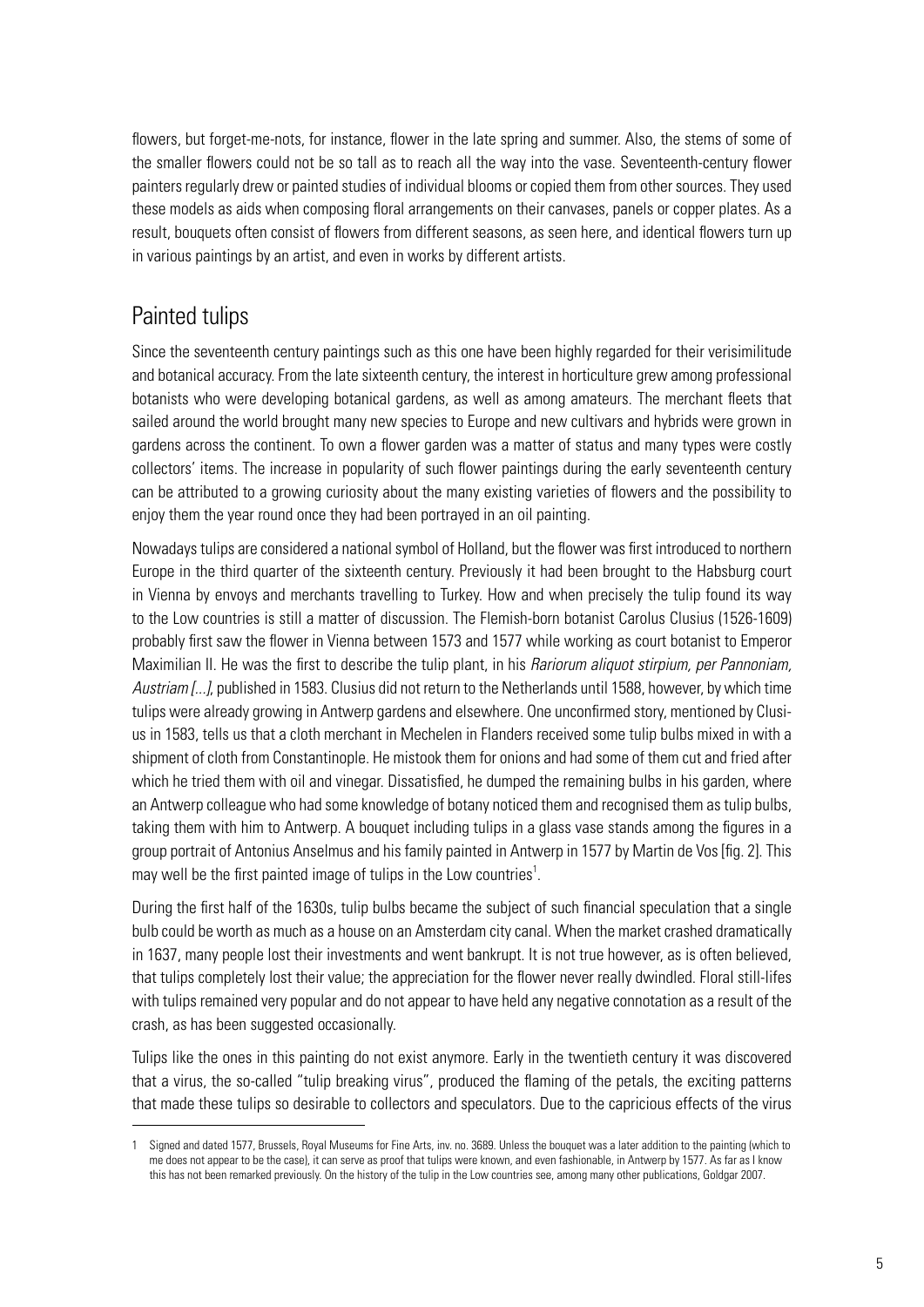flowers, but forget-me-nots, for instance, flower in the late spring and summer. Also, the stems of some of the smaller flowers could not be so tall as to reach all the way into the vase. Seventeenth-century flower painters regularly drew or painted studies of individual blooms or copied them from other sources. They used these models as aids when composing floral arrangements on their canvases, panels or copper plates. As a result, bouquets often consist of flowers from different seasons, as seen here, and identical flowers turn up in various paintings by an artist, and even in works by different artists.

## Painted tulips

Since the seventeenth century paintings such as this one have been highly regarded for their verisimilitude and botanical accuracy. From the late sixteenth century, the interest in horticulture grew among professional botanists who were developing botanical gardens, as well as among amateurs. The merchant fleets that sailed around the world brought many new species to Europe and new cultivars and hybrids were grown in gardens across the continent. To own a flower garden was a matter of status and many types were costly collectors' items. The increase in popularity of such flower paintings during the early seventeenth century can be attributed to a growing curiosity about the many existing varieties of flowers and the possibility to enjoy them the year round once they had been portrayed in an oil painting.

Nowadays tulips are considered a national symbol of Holland, but the flower was first introduced to northern Europe in the third quarter of the sixteenth century. Previously it had been brought to the Habsburg court in Vienna by envoys and merchants travelling to Turkey. How and when precisely the tulip found its way to the Low countries is still a matter of discussion. The Flemish-born botanist Carolus Clusius (1526-1609) probably first saw the flower in Vienna between 1573 and 1577 while working as court botanist to Emperor Maximilian II. He was the first to describe the tulip plant, in his *Rariorum aliquot stirpium, per Pannoniam, Austriam [...]*, published in 1583. Clusius did not return to the Netherlands until 1588, however, by which time tulips were already growing in Antwerp gardens and elsewhere. One unconfirmed story, mentioned by Clusius in 1583, tells us that a cloth merchant in Mechelen in Flanders received some tulip bulbs mixed in with a shipment of cloth from Constantinople. He mistook them for onions and had some of them cut and fried after which he tried them with oil and vinegar. Dissatisfied, he dumped the remaining bulbs in his garden, where an Antwerp colleague who had some knowledge of botany noticed them and recognised them as tulip bulbs, taking them with him to Antwerp. A bouquet including tulips in a glass vase stands among the figures in a group portrait of Antonius Anselmus and his family painted in Antwerp in 1577 by Martin de Vos [fig. 2]. This may well be the first painted image of tulips in the Low countries $<sup>1</sup>$ .</sup>

During the first half of the 1630s, tulip bulbs became the subject of such financial speculation that a single bulb could be worth as much as a house on an Amsterdam city canal. When the market crashed dramatically in 1637, many people lost their investments and went bankrupt. It is not true however, as is often believed, that tulips completely lost their value; the appreciation for the flower never really dwindled. Floral still-lifes with tulips remained very popular and do not appear to have held any negative connotation as a result of the crash, as has been suggested occasionally.

Tulips like the ones in this painting do not exist anymore. Early in the twentieth century it was discovered that a virus, the so-called "tulip breaking virus", produced the flaming of the petals, the exciting patterns that made these tulips so desirable to collectors and speculators. Due to the capricious effects of the virus

Signed and dated 1577, Brussels, Royal Museums for Fine Arts, inv. no. 3689. Unless the bouquet was a later addition to the painting (which to me does not appear to be the case), it can serve as proof that tulips were known, and even fashionable, in Antwerp by 1577. As far as I know this has not been remarked previously. On the history of the tulip in the Low countries see, among many other publications, Goldgar 2007.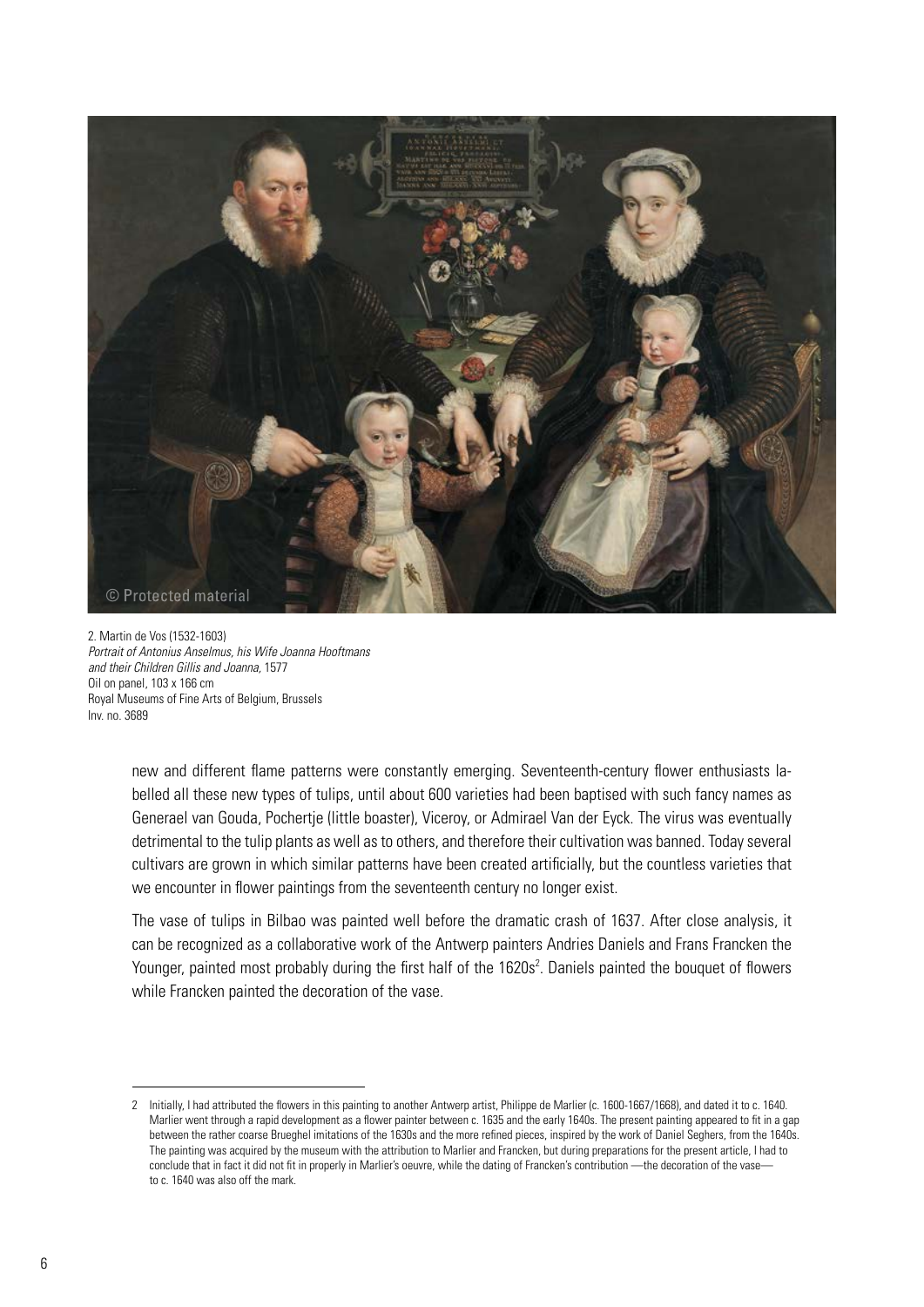

2. Martin de Vos (1532-1603) *Portrait of Antonius Anselmus, his Wife Joanna Hooftmans and their Children Gillis and Joanna,* 1577 Oil on panel, 103 x 166 cm Royal Museums of Fine Arts of Belgium, Brussels Inv. no. 3689

> new and different flame patterns were constantly emerging. Seventeenth-century flower enthusiasts labelled all these new types of tulips, until about 600 varieties had been baptised with such fancy names as Generael van Gouda, Pochertje (little boaster), Viceroy, or Admirael Van der Eyck. The virus was eventually detrimental to the tulip plants as well as to others, and therefore their cultivation was banned. Today several cultivars are grown in which similar patterns have been created artificially, but the countless varieties that we encounter in flower paintings from the seventeenth century no longer exist.

> The vase of tulips in Bilbao was painted well before the dramatic crash of 1637. After close analysis, it can be recognized as a collaborative work of the Antwerp painters Andries Daniels and Frans Francken the Younger, painted most probably during the first half of the 1620s<sup>2</sup>. Daniels painted the bouquet of flowers while Francken painted the decoration of the vase.

<sup>2</sup> Initially, I had attributed the flowers in this painting to another Antwerp artist, Philippe de Marlier (c. 1600-1667/1668), and dated it to c. 1640. Marlier went through a rapid development as a flower painter between c. 1635 and the early 1640s. The present painting appeared to fit in a gap between the rather coarse Brueghel imitations of the 1630s and the more refined pieces, inspired by the work of Daniel Seghers, from the 1640s. The painting was acquired by the museum with the attribution to Marlier and Francken, but during preparations for the present article, I had to conclude that in fact it did not fit in properly in Marlier's oeuvre, while the dating of Francken's contribution —the decoration of the vaseto c. 1640 was also off the mark.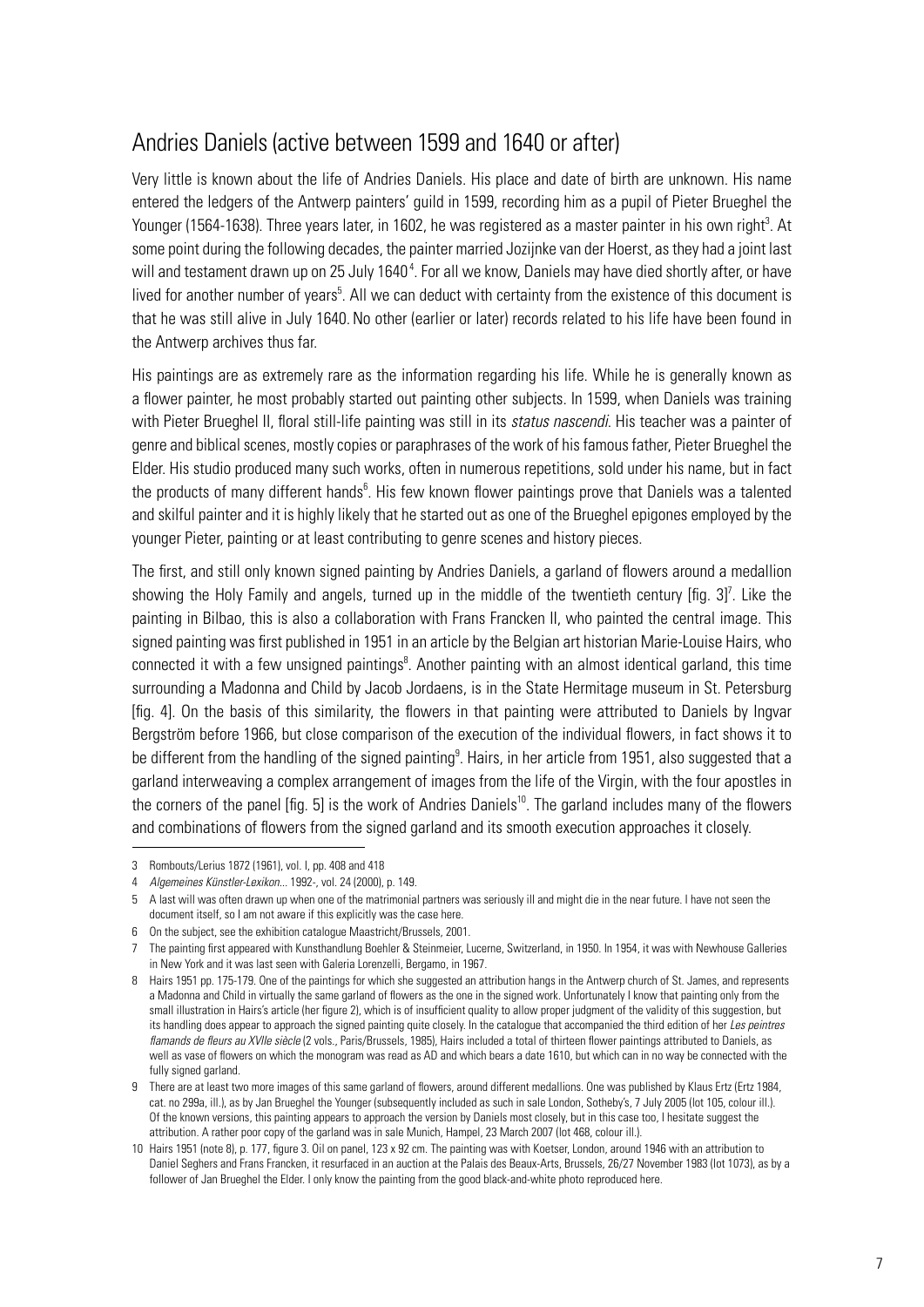## Andries Daniels (active between 1599 and 1640 or after)

Very little is known about the life of Andries Daniels. His place and date of birth are unknown. His name entered the ledgers of the Antwerp painters' guild in 1599, recording him as a pupil of Pieter Brueghel the Younger (1564-1638). Three years later, in 1602, he was registered as a master painter in his own right<sup>3</sup>. At some point during the following decades, the painter married Jozijnke van der Hoerst, as they had a joint last will and testament drawn up on 25 July 1640<sup>4</sup>. For all we know, Daniels may have died shortly after, or have lived for another number of years<sup>5</sup>. All we can deduct with certainty from the existence of this document is that he was still alive in July 1640. No other (earlier or later) records related to his life have been found in the Antwerp archives thus far.

His paintings are as extremely rare as the information regarding his life. While he is generally known as a flower painter, he most probably started out painting other subjects. In 1599, when Daniels was training with Pieter Brueghel II, floral still-life painting was still in its *status nascendi*. His teacher was a painter of genre and biblical scenes, mostly copies or paraphrases of the work of his famous father, Pieter Brueghel the Elder. His studio produced many such works, often in numerous repetitions, sold under his name, but in fact the products of many different hands<sup>6</sup>. His few known flower paintings prove that Daniels was a talented and skilful painter and it is highly likely that he started out as one of the Brueghel epigones employed by the younger Pieter, painting or at least contributing to genre scenes and history pieces.

The first, and still only known signed painting by Andries Daniels, a garland of flowers around a medallion showing the Holy Family and angels, turned up in the middle of the twentieth century [fig.  $3$ ]<sup>7</sup>. Like the painting in Bilbao, this is also a collaboration with Frans Francken II, who painted the central image. This signed painting was first published in 1951 in an article by the Belgian art historian Marie-Louise Hairs, who connected it with a few unsigned paintings<sup>8</sup>. Another painting with an almost identical garland, this time surrounding a Madonna and Child by Jacob Jordaens, is in the State Hermitage museum in St. Petersburg [fig. 4]. On the basis of this similarity, the flowers in that painting were attributed to Daniels by Ingvar Bergström before 1966, but close comparison of the execution of the individual flowers, in fact shows it to be different from the handling of the signed painting<sup>9</sup>. Hairs, in her article from 1951, also suggested that a garland interweaving a complex arrangement of images from the life of the Virgin, with the four apostles in the corners of the panel [fig. 5] is the work of Andries Daniels<sup>10</sup>. The garland includes many of the flowers and combinations of flowers from the signed garland and its smooth execution approaches it closely.

<sup>3</sup> Rombouts/Lerius 1872 (1961), vol. I, pp. 408 and 418

<sup>4</sup> *Algemeines Künstler-Lexikon...* 1992-, vol. 24 (2000), p. 149.

<sup>5</sup> A last will was often drawn up when one of the matrimonial partners was seriously ill and might die in the near future. I have not seen the document itself, so I am not aware if this explicitly was the case here.

<sup>6</sup> On the subject, see the exhibition catalogue Maastricht/Brussels, 2001.

<sup>7</sup> The painting first appeared with Kunsthandlung Boehler & Steinmeier, Lucerne, Switzerland, in 1950. In 1954, it was with Newhouse Galleries in New York and it was last seen with Galeria Lorenzelli, Bergamo, in 1967.

<sup>8</sup> Hairs 1951 pp. 175-179. One of the paintings for which she suggested an attribution hangs in the Antwerp church of St. James, and represents a Madonna and Child in virtually the same garland of flowers as the one in the signed work. Unfortunately I know that painting only from the small illustration in Hairs's article (her figure 2), which is of insufficient quality to allow proper judgment of the validity of this suggestion, but its handling does appear to approach the signed painting quite closely. In the catalogue that accompanied the third edition of her *Les peintres*  flamands de fleurs au XVIIe siècle (2 vols., Paris/Brussels, 1985), Hairs included a total of thirteen flower paintings attributed to Daniels, as well as vase of flowers on which the monogram was read as AD and which bears a date 1610, but which can in no way be connected with the fully signed garland.

<sup>9</sup> There are at least two more images of this same garland of flowers, around different medallions. One was published by Klaus Ertz (Ertz 1984, cat. no 299a, ill.), as by Jan Brueghel the Younger (subsequently included as such in sale London, Sotheby's, 7 July 2005 (lot 105, colour ill.). Of the known versions, this painting appears to approach the version by Daniels most closely, but in this case too, I hesitate suggest the attribution. A rather poor copy of the garland was in sale Munich, Hampel, 23 March 2007 (lot 468, colour ill.).

<sup>10</sup> Hairs 1951 (note 8), p. 177, figure 3. Oil on panel, 123 x 92 cm. The painting was with Koetser, London, around 1946 with an attribution to Daniel Seghers and Frans Francken, it resurfaced in an auction at the Palais des Beaux-Arts, Brussels, 26/27 November 1983 (lot 1073), as by a follower of Jan Brueghel the Elder. I only know the painting from the good black-and-white photo reproduced here.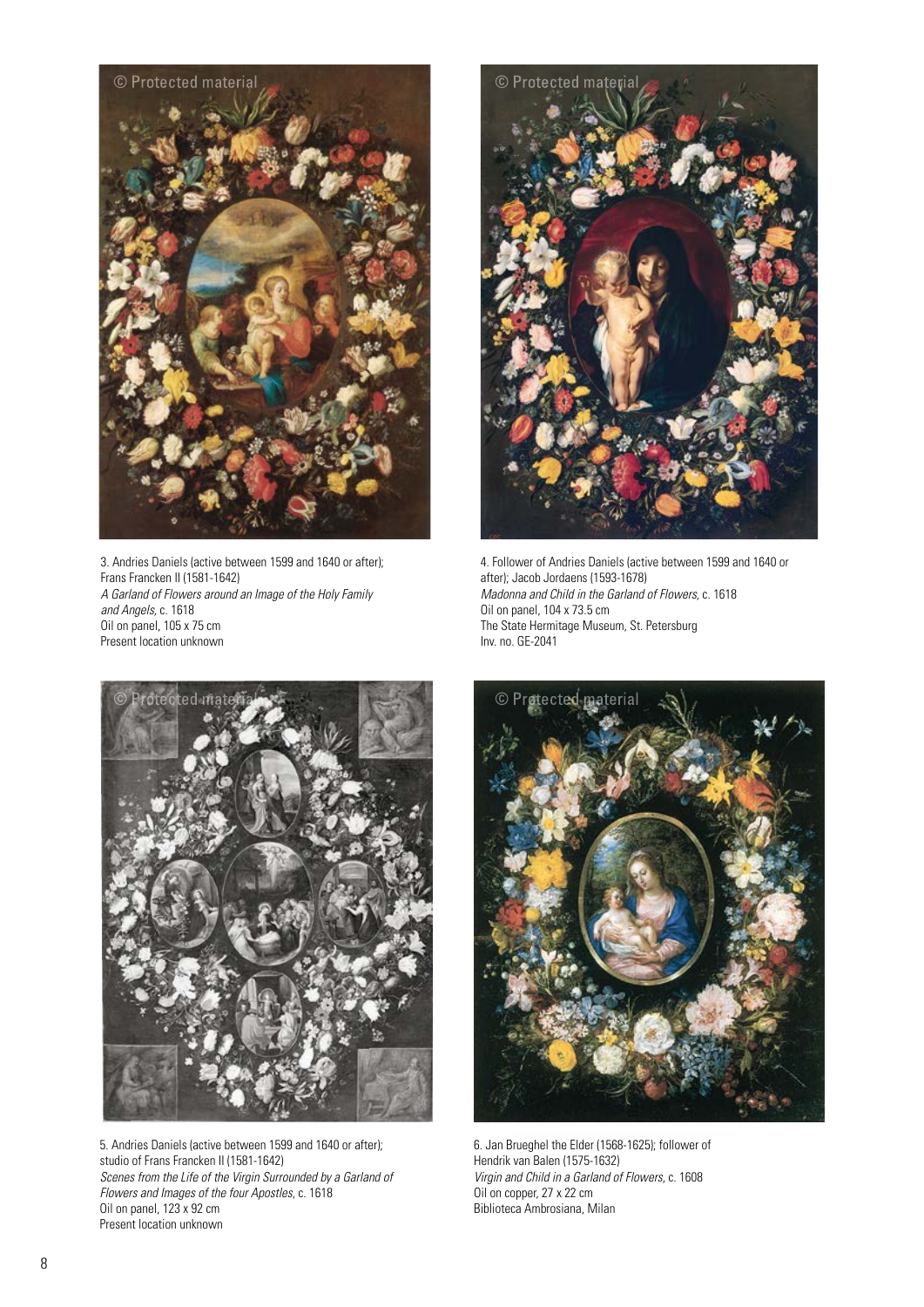

3. Andries Daniels (active between 1599 and 1640 or after); Frans Francken II (1581-1642) *A Garland of Flowers around an Image of the Holy Family and Angels,* c. 1618 Oil on panel, 105 x 75 cm Present location unknown



4. Follower of Andries Daniels (active between 1599 and 1640 or after); Jacob Jordaens (1593-1678) *Madonna and Child in the Garland of Flowers,* c. 1618 Oil on panel, 104 x 73.5 cm The State Hermitage Museum, St. Petersburg Inv. no. GE-2041



5. Andries Daniels (active between 1599 and 1640 or after); studio of Frans Francken II (1581-1642) *Scenes from the Life of the Virgin Surrounded by a Garland of Flowers and Images of the four Apostles*, c. 1618 Oil on panel, 123 x 92 cm Present location unknown



6. Jan Brueghel the Elder (1568-1625); follower of Hendrik van Balen (1575-1632) *Virgin and Child in a Garland of Flowers,* c. 1608 Oil on copper, 27 x 22 cm Biblioteca Ambrosiana, Milan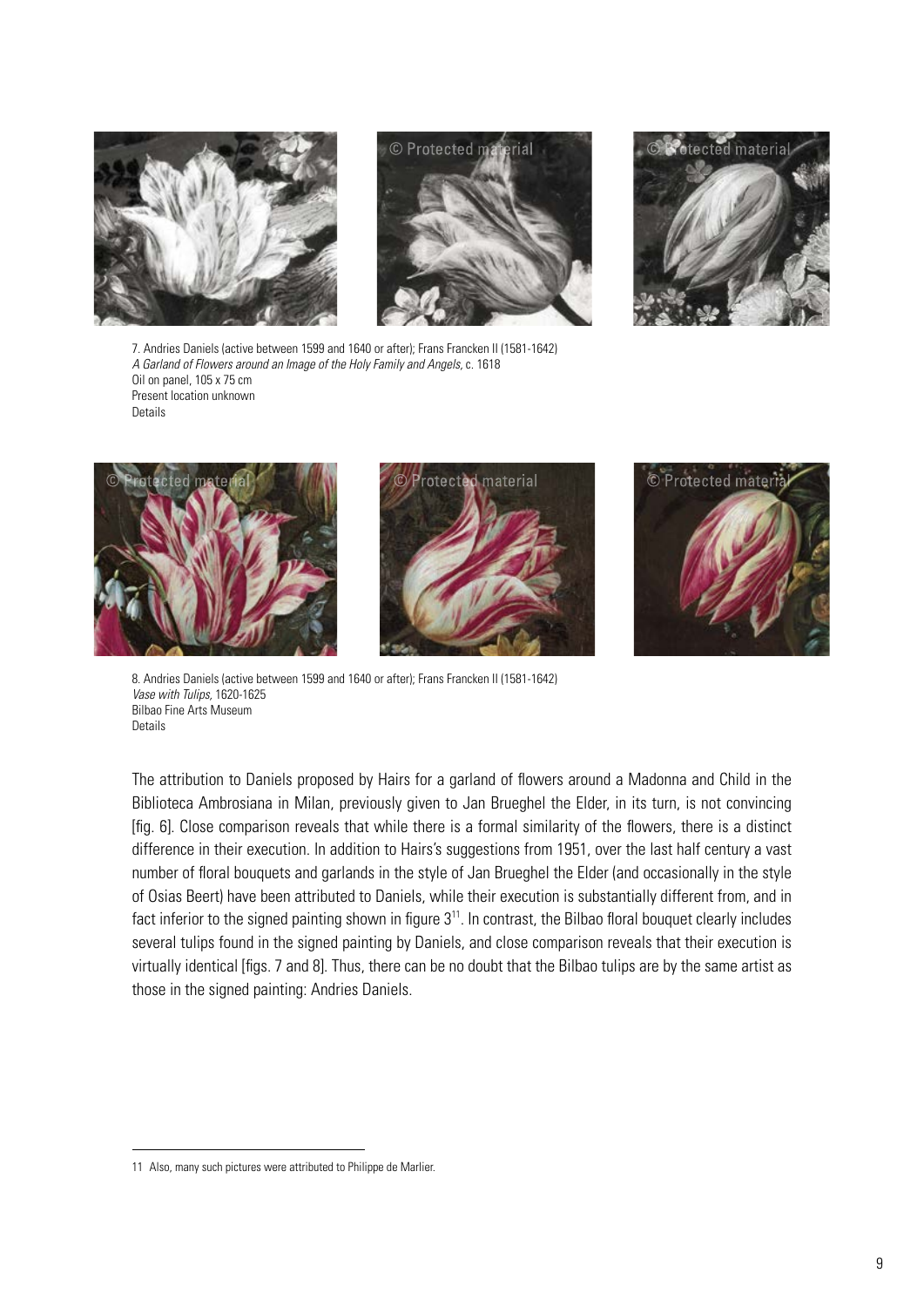





7. Andries Daniels (active between 1599 and 1640 or after); Frans Francken II (1581-1642) *A Garland of Flowers around an Image of the Holy Family and Angels,* c. 1618 Oil on panel, 105 x 75 cm Present location unknown Details



8. Andries Daniels (active between 1599 and 1640 or after); Frans Francken II (1581-1642) *Vase with Tulips,* 1620-1625 Bilbao Fine Arts Museum **Details** 

The attribution to Daniels proposed by Hairs for a garland of flowers around a Madonna and Child in the Biblioteca Ambrosiana in Milan, previously given to Jan Brueghel the Elder, in its turn, is not convincing [fig. 6]. Close comparison reveals that while there is a formal similarity of the flowers, there is a distinct difference in their execution. In addition to Hairs's suggestions from 1951, over the last half century a vast number of floral bouquets and garlands in the style of Jan Brueghel the Elder (and occasionally in the style of Osias Beert) have been attributed to Daniels, while their execution is substantially different from, and in fact inferior to the signed painting shown in figure 3<sup>11</sup>. In contrast, the Bilbao floral bouquet clearly includes several tulips found in the signed painting by Daniels, and close comparison reveals that their execution is virtually identical [figs. 7 and 8]. Thus, there can be no doubt that the Bilbao tulips are by the same artist as those in the signed painting: Andries Daniels.

<sup>11</sup> Also, many such pictures were attributed to Philippe de Marlier.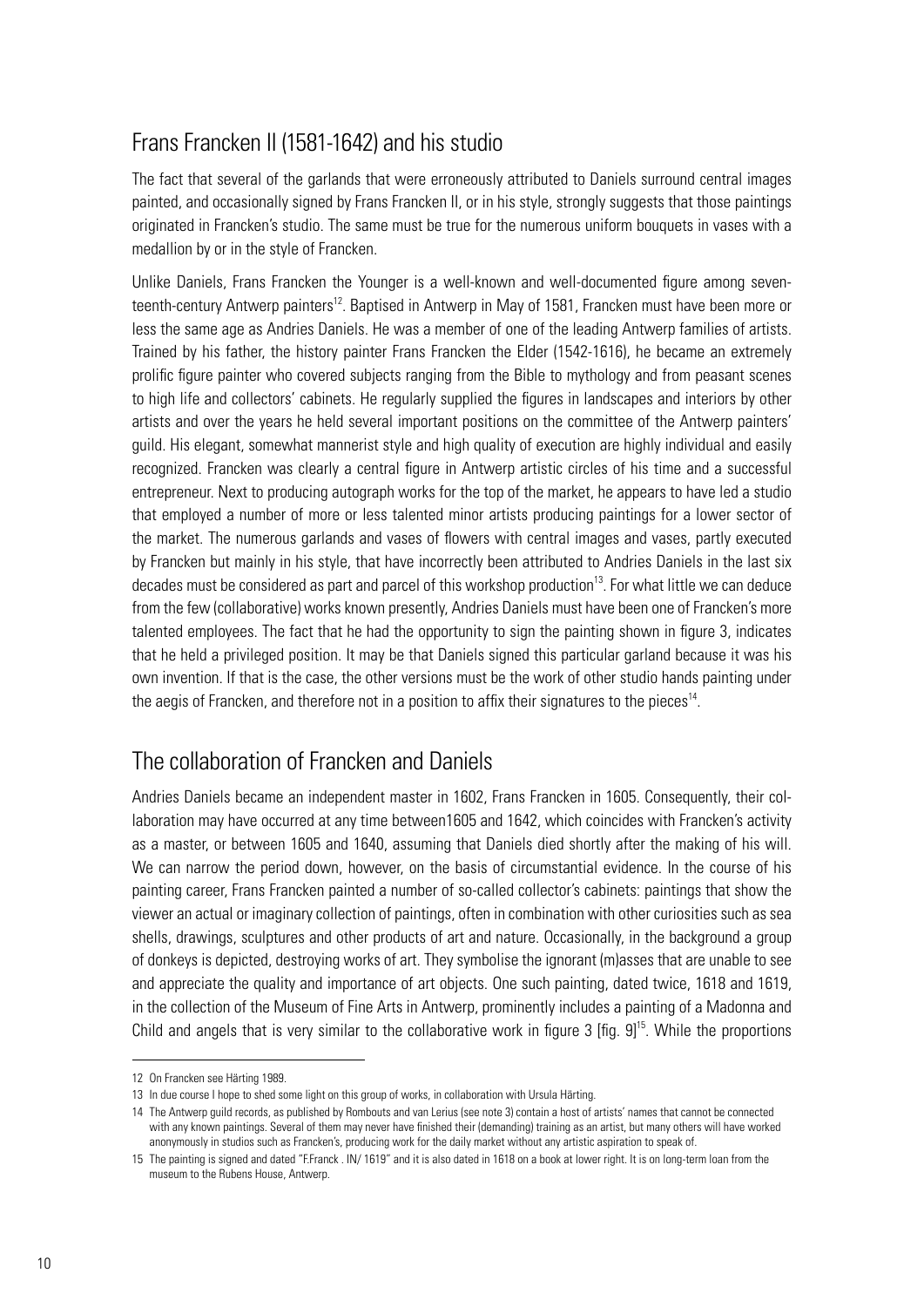## Frans Francken II (1581-1642) and his studio

The fact that several of the garlands that were erroneously attributed to Daniels surround central images painted, and occasionally signed by Frans Francken II, or in his style, strongly suggests that those paintings originated in Francken's studio. The same must be true for the numerous uniform bouquets in vases with a medallion by or in the style of Francken.

Unlike Daniels, Frans Francken the Younger is a well-known and well-documented figure among seventeenth-century Antwerp painters<sup>12</sup>. Baptised in Antwerp in May of 1581, Francken must have been more or less the same age as Andries Daniels. He was a member of one of the leading Antwerp families of artists. Trained by his father, the history painter Frans Francken the Elder (1542-1616), he became an extremely prolific figure painter who covered subjects ranging from the Bible to mythology and from peasant scenes to high life and collectors' cabinets. He regularly supplied the figures in landscapes and interiors by other artists and over the years he held several important positions on the committee of the Antwerp painters' guild. His elegant, somewhat mannerist style and high quality of execution are highly individual and easily recognized. Francken was clearly a central figure in Antwerp artistic circles of his time and a successful entrepreneur. Next to producing autograph works for the top of the market, he appears to have led a studio that employed a number of more or less talented minor artists producing paintings for a lower sector of the market. The numerous garlands and vases of flowers with central images and vases, partly executed by Francken but mainly in his style, that have incorrectly been attributed to Andries Daniels in the last six decades must be considered as part and parcel of this workshop production<sup>13</sup>. For what little we can deduce from the few (collaborative) works known presently, Andries Daniels must have been one of Francken's more talented employees. The fact that he had the opportunity to sign the painting shown in figure 3, indicates that he held a privileged position. It may be that Daniels signed this particular garland because it was his own invention. If that is the case, the other versions must be the work of other studio hands painting under the aegis of Francken, and therefore not in a position to affix their signatures to the pieces<sup>14</sup>.

## The collaboration of Francken and Daniels

Andries Daniels became an independent master in 1602, Frans Francken in 1605. Consequently, their collaboration may have occurred at any time between1605 and 1642, which coincides with Francken's activity as a master, or between 1605 and 1640, assuming that Daniels died shortly after the making of his will. We can narrow the period down, however, on the basis of circumstantial evidence. In the course of his painting career, Frans Francken painted a number of so-called collector's cabinets: paintings that show the viewer an actual or imaginary collection of paintings, often in combination with other curiosities such as sea shells, drawings, sculptures and other products of art and nature. Occasionally, in the background a group of donkeys is depicted, destroying works of art. They symbolise the ignorant (m)asses that are unable to see and appreciate the quality and importance of art objects. One such painting, dated twice, 1618 and 1619, in the collection of the Museum of Fine Arts in Antwerp, prominently includes a painting of a Madonna and Child and angels that is very similar to the collaborative work in figure 3 [fig.  $91<sup>5</sup>$ . While the proportions

<sup>12</sup> On Francken see Härting 1989.

<sup>13</sup> In due course I hope to shed some light on this group of works, in collaboration with Ursula Härting.

<sup>14</sup> The Antwerp guild records, as published by Rombouts and van Lerius (see note 3) contain a host of artists' names that cannot be connected with any known paintings. Several of them may never have finished their (demanding) training as an artist, but many others will have worked anonymously in studios such as Francken's, producing work for the daily market without any artistic aspiration to speak of.

<sup>15</sup> The painting is signed and dated "F.Franck . IN/ 1619" and it is also dated in 1618 on a book at lower right. It is on long-term loan from the museum to the Rubens House, Antwerp.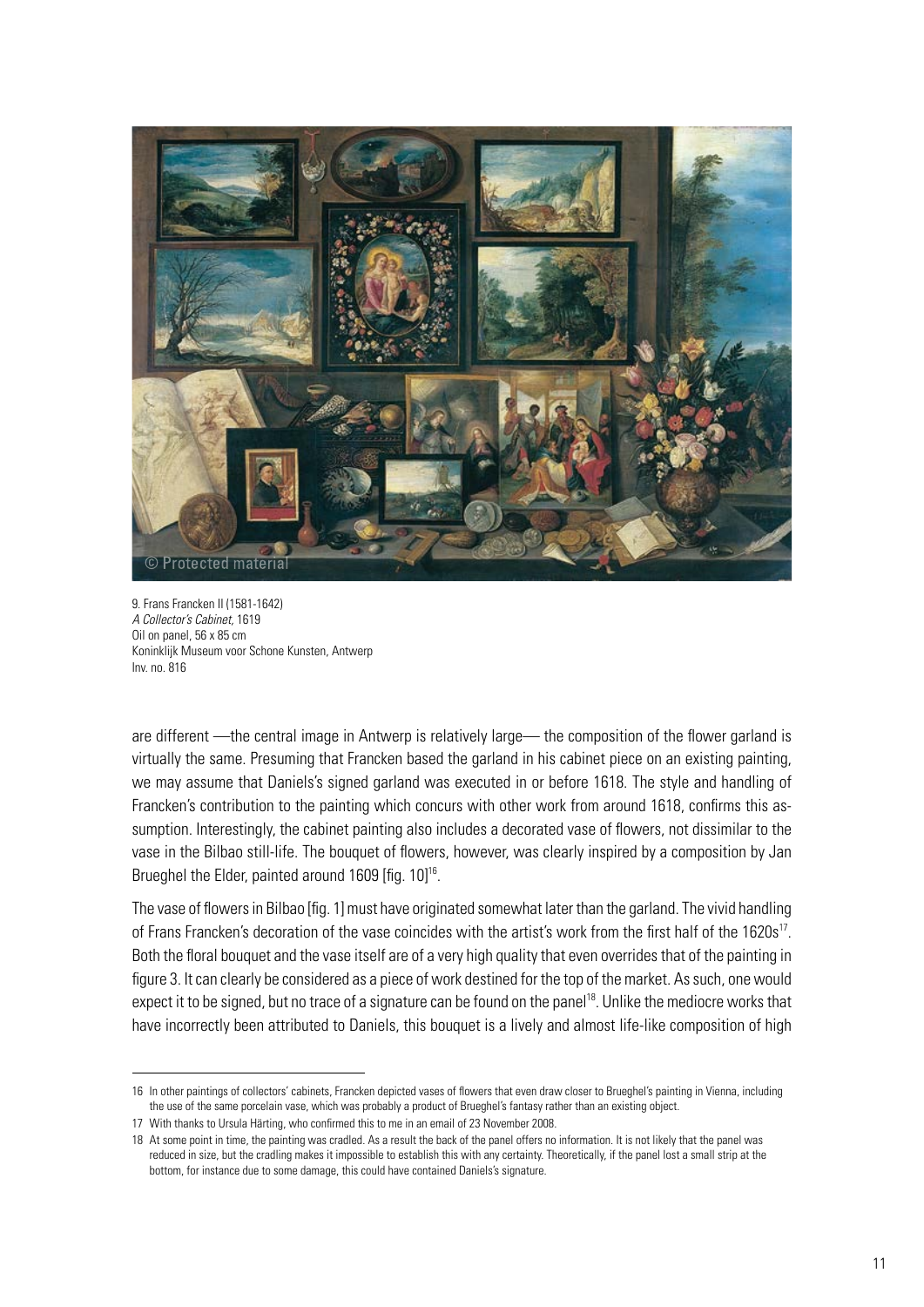

9. Frans Francken II (1581-1642) *A Collector's Cabinet,* 1619 Oil on panel, 56 x 85 cm Koninklijk Museum voor Schone Kunsten, Antwerp Inv. no. 816

are different —the central image in Antwerp is relatively large— the composition of the flower garland is virtually the same. Presuming that Francken based the garland in his cabinet piece on an existing painting, we may assume that Daniels's signed garland was executed in or before 1618. The style and handling of Francken's contribution to the painting which concurs with other work from around 1618, confirms this assumption. Interestingly, the cabinet painting also includes a decorated vase of flowers, not dissimilar to the vase in the Bilbao still-life. The bouquet of flowers, however, was clearly inspired by a composition by Jan Brueghel the Elder, painted around 1609 [fig. 10]<sup>16</sup>.

The vase of flowers in Bilbao [fig. 1] must have originated somewhat later than the garland. The vivid handling of Frans Francken's decoration of the vase coincides with the artist's work from the first half of the 1620s<sup>17</sup>. Both the floral bouquet and the vase itself are of a very high quality that even overrides that of the painting in figure 3. It can clearly be considered as a piece of work destined for the top of the market. As such, one would expect it to be signed, but no trace of a signature can be found on the panel<sup>18</sup>. Unlike the mediocre works that have incorrectly been attributed to Daniels, this bouquet is a lively and almost life-like composition of high

<sup>16</sup> In other paintings of collectors' cabinets, Francken depicted vases of flowers that even draw closer to Brueghel's painting in Vienna, including the use of the same porcelain vase, which was probably a product of Brueghel's fantasy rather than an existing object.

<sup>17</sup> With thanks to Ursula Härting, who confirmed this to me in an email of 23 November 2008.

<sup>18</sup> At some point in time, the painting was cradled. As a result the back of the panel offers no information. It is not likely that the panel was reduced in size, but the cradling makes it impossible to establish this with any certainty. Theoretically, if the panel lost a small strip at the bottom, for instance due to some damage, this could have contained Daniels's signature.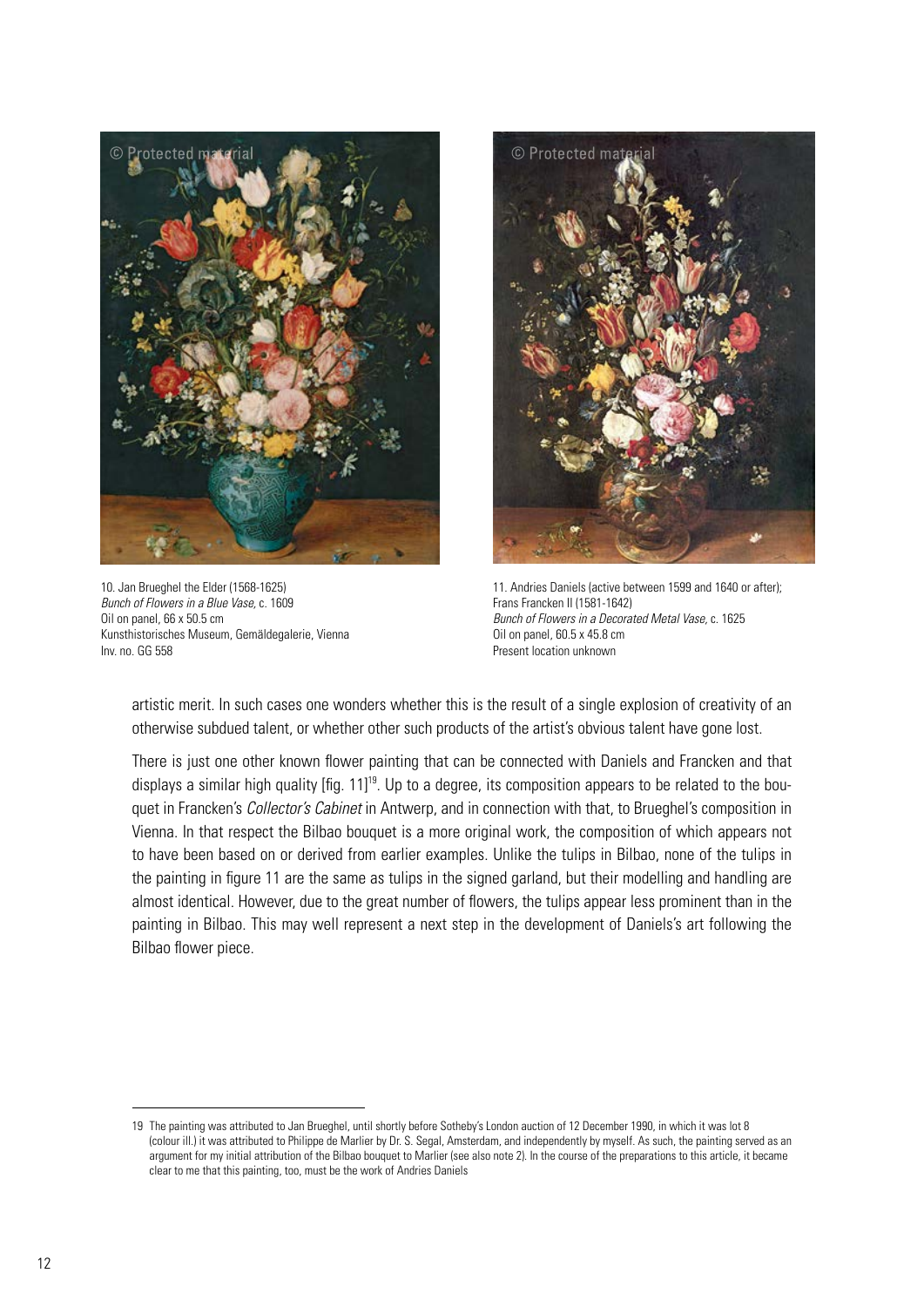

10. Jan Brueghel the Elder (1568-1625) *Bunch of Flowers in a Blue Vase,* c. 1609 Oil on panel, 66 x 50.5 cm Kunsthistorisches Museum, Gemäldegalerie, Vienna Inv. no. GG 558



11. Andries Daniels (active between 1599 and 1640 or after); Frans Francken II (1581-1642) *Bunch of Flowers in a Decorated Metal Vase,* c. 1625 Oil on panel, 60.5 x 45.8 cm Present location unknown

artistic merit. In such cases one wonders whether this is the result of a single explosion of creativity of an otherwise subdued talent, or whether other such products of the artist's obvious talent have gone lost.

There is just one other known flower painting that can be connected with Daniels and Francken and that displays a similar high quality [fig. 11]<sup>19</sup>. Up to a degree, its composition appears to be related to the bouquet in Francken's *Collector's Cabinet* in Antwerp, and in connection with that, to Brueghel's composition in Vienna. In that respect the Bilbao bouquet is a more original work, the composition of which appears not to have been based on or derived from earlier examples. Unlike the tulips in Bilbao, none of the tulips in the painting in figure 11 are the same as tulips in the signed garland, but their modelling and handling are almost identical. However, due to the great number of flowers, the tulips appear less prominent than in the painting in Bilbao. This may well represent a next step in the development of Daniels's art following the Bilbao flower piece.

<sup>19</sup> The painting was attributed to Jan Brueghel, until shortly before Sotheby's London auction of 12 December 1990, in which it was lot 8 (colour ill.) it was attributed to Philippe de Marlier by Dr. S. Segal, Amsterdam, and independently by myself. As such, the painting served as an argument for my initial attribution of the Bilbao bouquet to Marlier (see also note 2). In the course of the preparations to this article, it became clear to me that this painting, too, must be the work of Andries Daniels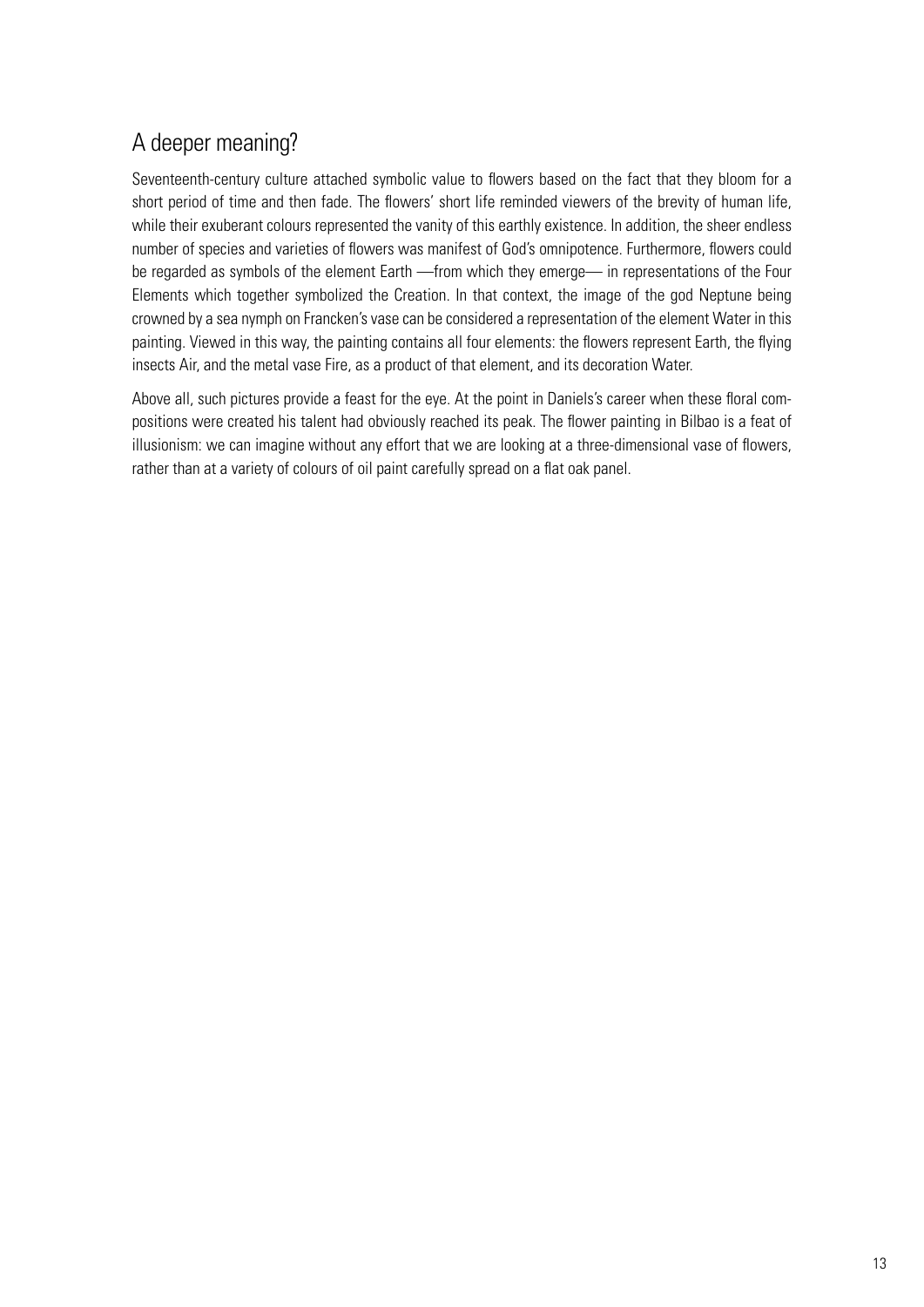## A deeper meaning?

Seventeenth-century culture attached symbolic value to flowers based on the fact that they bloom for a short period of time and then fade. The flowers' short life reminded viewers of the brevity of human life, while their exuberant colours represented the vanity of this earthly existence. In addition, the sheer endless number of species and varieties of flowers was manifest of God's omnipotence. Furthermore, flowers could be regarded as symbols of the element Earth —from which they emerge— in representations of the Four Elements which together symbolized the Creation. In that context, the image of the god Neptune being crowned by a sea nymph on Francken's vase can be considered a representation of the element Water in this painting. Viewed in this way, the painting contains all four elements: the flowers represent Earth, the flying insects Air, and the metal vase Fire, as a product of that element, and its decoration Water.

Above all, such pictures provide a feast for the eye. At the point in Daniels's career when these floral compositions were created his talent had obviously reached its peak. The flower painting in Bilbao is a feat of illusionism: we can imagine without any effort that we are looking at a three-dimensional vase of flowers, rather than at a variety of colours of oil paint carefully spread on a flat oak panel.